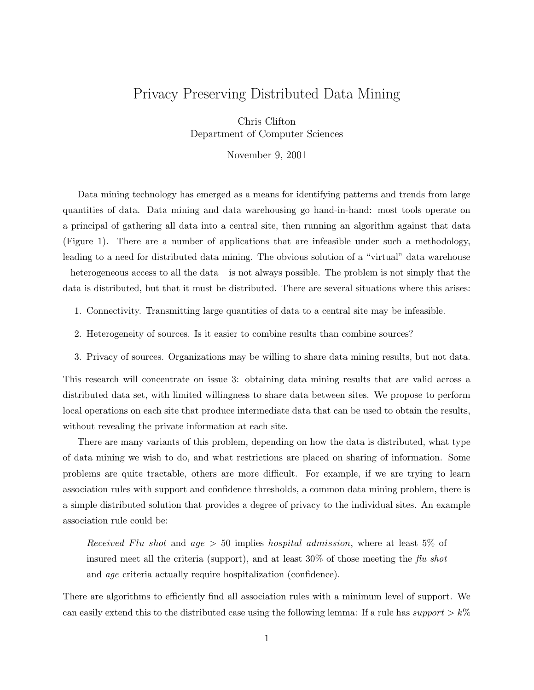# Privacy Preserving Distributed Data Mining

Chris Clifton Department of Computer Sciences

November 9, 2001

Data mining technology has emerged as a means for identifying patterns and trends from large quantities of data. Data mining and data warehousing go hand-in-hand: most tools operate on a principal of gathering all data into a central site, then running an algorithm against that data (Figure 1). There are a number of applications that are infeasible under such a methodology, leading to a need for distributed data mining. The obvious solution of a "virtual" data warehouse – heterogeneous access to all the data – is not always possible. The problem is not simply that the data is distributed, but that it must be distributed. There are several situations where this arises:

- 1. Connectivity. Transmitting large quantities of data to a central site may be infeasible.
- 2. Heterogeneity of sources. Is it easier to combine results than combine sources?
- 3. Privacy of sources. Organizations may be willing to share data mining results, but not data.

This research will concentrate on issue 3: obtaining data mining results that are valid across a distributed data set, with limited willingness to share data between sites. We propose to perform local operations on each site that produce intermediate data that can be used to obtain the results, without revealing the private information at each site.

There are many variants of this problem, depending on how the data is distributed, what type of data mining we wish to do, and what restrictions are placed on sharing of information. Some problems are quite tractable, others are more difficult. For example, if we are trying to learn association rules with support and confidence thresholds, a common data mining problem, there is a simple distributed solution that provides a degree of privacy to the individual sites. An example association rule could be:

Received Flu shot and age  $> 50$  implies hospital admission, where at least 5% of insured meet all the criteria (support), and at least  $30\%$  of those meeting the flu shot and age criteria actually require hospitalization (confidence).

There are algorithms to efficiently find all association rules with a minimum level of support. We can easily extend this to the distributed case using the following lemma: If a rule has support  $> k\%$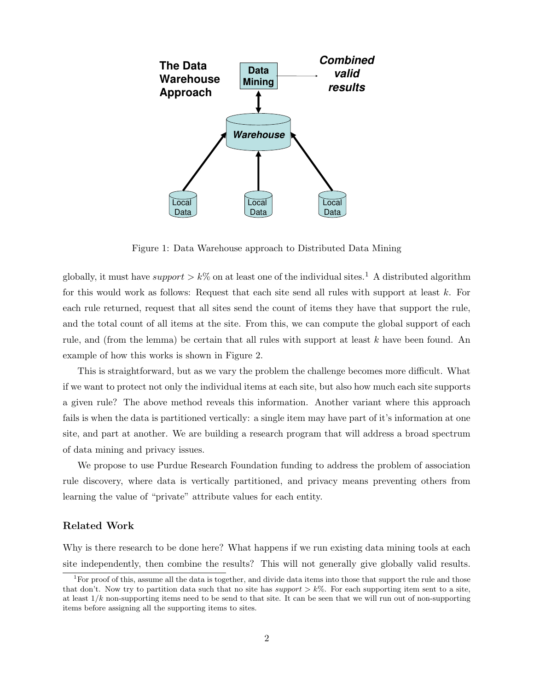

Figure 1: Data Warehouse approach to Distributed Data Mining

globally, it must have support  $\geq k\%$  on at least one of the individual sites.<sup>1</sup> A distributed algorithm for this would work as follows: Request that each site send all rules with support at least  $k$ . For each rule returned, request that all sites send the count of items they have that support the rule, and the total count of all items at the site. From this, we can compute the global support of each rule, and (from the lemma) be certain that all rules with support at least  $k$  have been found. An example of how this works is shown in Figure 2.

This is straightforward, but as we vary the problem the challenge becomes more difficult. What if we want to protect not only the individual items at each site, but also how much each site supports a given rule? The above method reveals this information. Another variant where this approach fails is when the data is partitioned vertically: a single item may have part of it's information at one site, and part at another. We are building a research program that will address a broad spectrum of data mining and privacy issues.

We propose to use Purdue Research Foundation funding to address the problem of association rule discovery, where data is vertically partitioned, and privacy means preventing others from learning the value of "private" attribute values for each entity.

#### Related Work

Why is there research to be done here? What happens if we run existing data mining tools at each site independently, then combine the results? This will not generally give globally valid results.

 ${}^{1}$  For proof of this, assume all the data is together, and divide data items into those that support the rule and those that don't. Now try to partition data such that no site has support  $\geq k\%$ . For each supporting item sent to a site, at least  $1/k$  non-supporting items need to be send to that site. It can be seen that we will run out of non-supporting items before assigning all the supporting items to sites.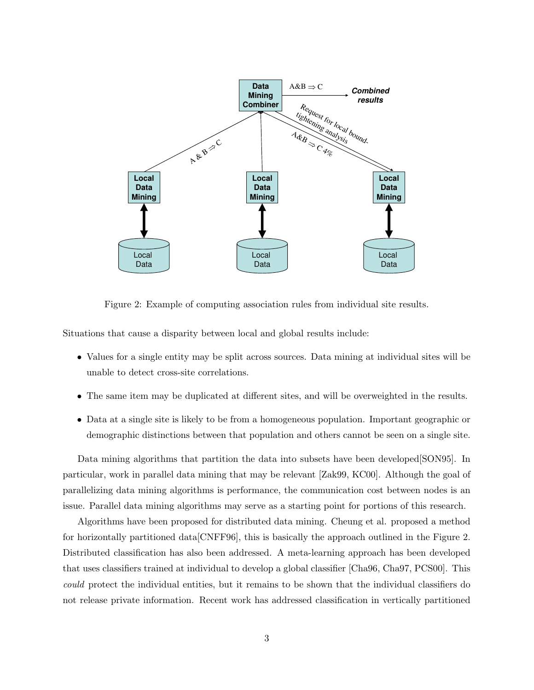

Figure 2: Example of computing association rules from individual site results.

Situations that cause a disparity between local and global results include:

- Values for a single entity may be split across sources. Data mining at individual sites will be unable to detect cross-site correlations.
- The same item may be duplicated at different sites, and will be overweighted in the results.
- Data at a single site is likely to be from a homogeneous population. Important geographic or demographic distinctions between that population and others cannot be seen on a single site.

Data mining algorithms that partition the data into subsets have been developed  $\text{[SON95]}$ . In particular, work in parallel data mining that may be relevant [Zak99, KC00]. Although the goal of parallelizing data mining algorithms is performance, the communication cost between nodes is an issue. Parallel data mining algorithms may serve as a starting point for portions of this research.

Algorithms have been proposed for distributed data mining. Cheung et al. proposed a method for horizontally partitioned data[CNFF96], this is basically the approach outlined in the Figure 2. Distributed classification has also been addressed. A meta-learning approach has been developed that uses classifiers trained at individual to develop a global classifier [Cha96, Cha97, PCS00]. This could protect the individual entities, but it remains to be shown that the individual classifiers do not release private information. Recent work has addressed classification in vertically partitioned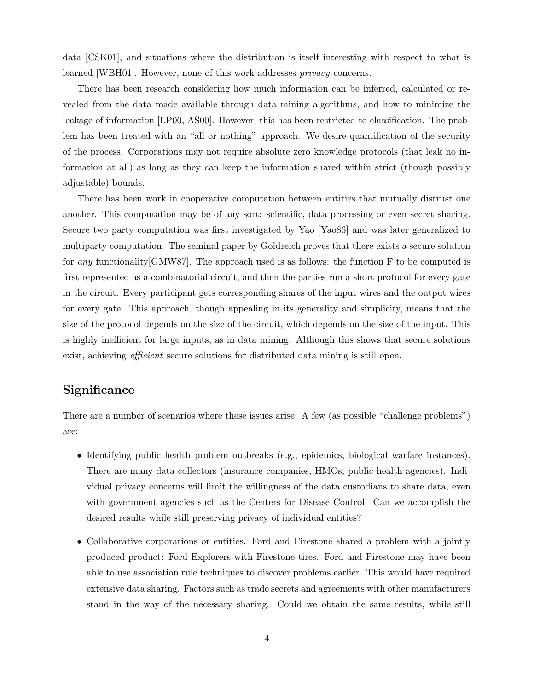data [CSK01], and situations where the distribution is itself interesting with respect to what is learned [WBH01]. However, none of this work addresses privacy concerns.

There has been research considering how much information can be inferred, calculated or revealed from the data made available through data mining algorithms, and how to minimize the leakage of information [LP00, AS00]. However, this has been restricted to classification. The problem has been treated with an "all or nothing" approach. We desire quantification of the security of the process. Corporations may not require absolute zero knowledge protocols (that leak no information at all) as long as they can keep the information shared within strict (though possibly adjustable) bounds.

There has been work in cooperative computation between entities that mutually distrust one another. This computation may be of any sort: scientific, data processing or even secret sharing. Secure two party computation was first investigated by Yao [Yao86] and was later generalized to multiparty computation. The seminal paper by Goldreich proves that there exists a secure solution for any functionality[GMW87]. The approach used is as follows: the function F to be computed is first represented as a combinatorial circuit, and then the parties run a short protocol for every gate in the circuit. Every participant gets corresponding shares of the input wires and the output wires for every gate. This approach, though appealing in its generality and simplicity, means that the size of the protocol depends on the size of the circuit, which depends on the size of the input. This is highly inefficient for large inputs, as in data mining. Although this shows that secure solutions exist, achieving *efficient* secure solutions for distributed data mining is still open.

## **Significance**

There are a number of scenarios where these issues arise. A few (as possible "challenge problems") are:

- Identifying public health problem outbreaks (e.g., epidemics, biological warfare instances). There are many data collectors (insurance companies, HMOs, public health agencies). Individual privacy concerns will limit the willingness of the data custodians to share data, even with government agencies such as the Centers for Disease Control. Can we accomplish the desired results while still preserving privacy of individual entities?
- Collaborative corporations or entities. Ford and Firestone shared a problem with a jointly produced product: Ford Explorers with Firestone tires. Ford and Firestone may have been able to use association rule techniques to discover problems earlier. This would have required extensive data sharing. Factors such as trade secrets and agreements with other manufacturers stand in the way of the necessary sharing. Could we obtain the same results, while still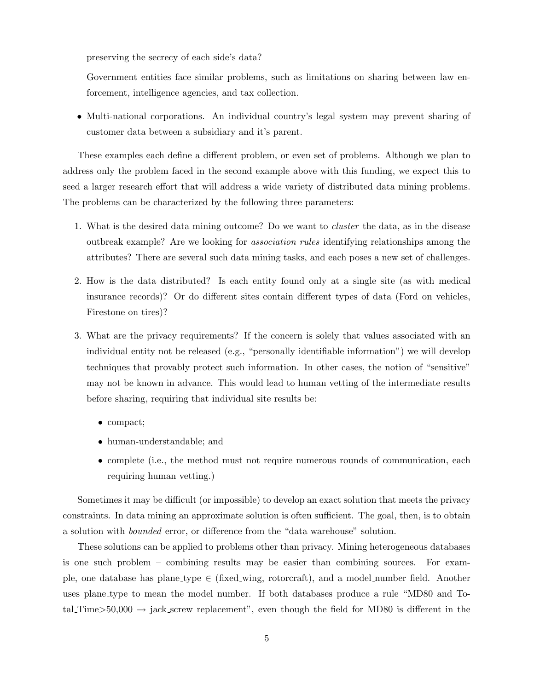preserving the secrecy of each side's data?

Government entities face similar problems, such as limitations on sharing between law enforcement, intelligence agencies, and tax collection.

• Multi-national corporations. An individual country's legal system may prevent sharing of customer data between a subsidiary and it's parent.

These examples each define a different problem, or even set of problems. Although we plan to address only the problem faced in the second example above with this funding, we expect this to seed a larger research effort that will address a wide variety of distributed data mining problems. The problems can be characterized by the following three parameters:

- 1. What is the desired data mining outcome? Do we want to cluster the data, as in the disease outbreak example? Are we looking for association rules identifying relationships among the attributes? There are several such data mining tasks, and each poses a new set of challenges.
- 2. How is the data distributed? Is each entity found only at a single site (as with medical insurance records)? Or do different sites contain different types of data (Ford on vehicles, Firestone on tires)?
- 3. What are the privacy requirements? If the concern is solely that values associated with an individual entity not be released (e.g., "personally identifiable information") we will develop techniques that provably protect such information. In other cases, the notion of "sensitive" may not be known in advance. This would lead to human vetting of the intermediate results before sharing, requiring that individual site results be:
	- compact;
	- human-understandable; and
	- complete (i.e., the method must not require numerous rounds of communication, each requiring human vetting.)

Sometimes it may be difficult (or impossible) to develop an exact solution that meets the privacy constraints. In data mining an approximate solution is often sufficient. The goal, then, is to obtain a solution with bounded error, or difference from the "data warehouse" solution.

These solutions can be applied to problems other than privacy. Mining heterogeneous databases is one such problem – combining results may be easier than combining sources. For example, one database has plane\_type  $\in$  (fixed\_wing, rotorcraft), and a model\_number field. Another uses plane type to mean the model number. If both databases produce a rule "MD80 and Total Time>50,000  $\rightarrow$  jack screw replacement", even though the field for MD80 is different in the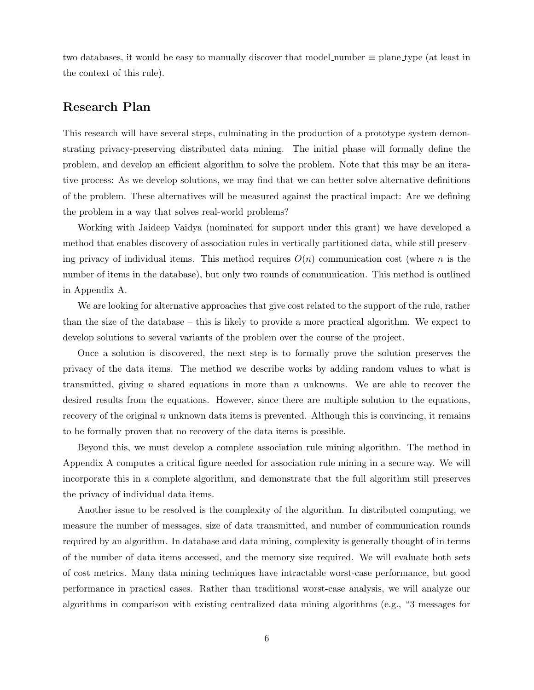two databases, it would be easy to manually discover that model number  $\equiv$  plane type (at least in the context of this rule).

## Research Plan

This research will have several steps, culminating in the production of a prototype system demonstrating privacy-preserving distributed data mining. The initial phase will formally define the problem, and develop an efficient algorithm to solve the problem. Note that this may be an iterative process: As we develop solutions, we may find that we can better solve alternative definitions of the problem. These alternatives will be measured against the practical impact: Are we defining the problem in a way that solves real-world problems?

Working with Jaideep Vaidya (nominated for support under this grant) we have developed a method that enables discovery of association rules in vertically partitioned data, while still preserving privacy of individual items. This method requires  $O(n)$  communication cost (where n is the number of items in the database), but only two rounds of communication. This method is outlined in Appendix A.

We are looking for alternative approaches that give cost related to the support of the rule, rather than the size of the database – this is likely to provide a more practical algorithm. We expect to develop solutions to several variants of the problem over the course of the project.

Once a solution is discovered, the next step is to formally prove the solution preserves the privacy of the data items. The method we describe works by adding random values to what is transmitted, giving n shared equations in more than  $n$  unknowns. We are able to recover the desired results from the equations. However, since there are multiple solution to the equations, recovery of the original  $n$  unknown data items is prevented. Although this is convincing, it remains to be formally proven that no recovery of the data items is possible.

Beyond this, we must develop a complete association rule mining algorithm. The method in Appendix A computes a critical figure needed for association rule mining in a secure way. We will incorporate this in a complete algorithm, and demonstrate that the full algorithm still preserves the privacy of individual data items.

Another issue to be resolved is the complexity of the algorithm. In distributed computing, we measure the number of messages, size of data transmitted, and number of communication rounds required by an algorithm. In database and data mining, complexity is generally thought of in terms of the number of data items accessed, and the memory size required. We will evaluate both sets of cost metrics. Many data mining techniques have intractable worst-case performance, but good performance in practical cases. Rather than traditional worst-case analysis, we will analyze our algorithms in comparison with existing centralized data mining algorithms (e.g., "3 messages for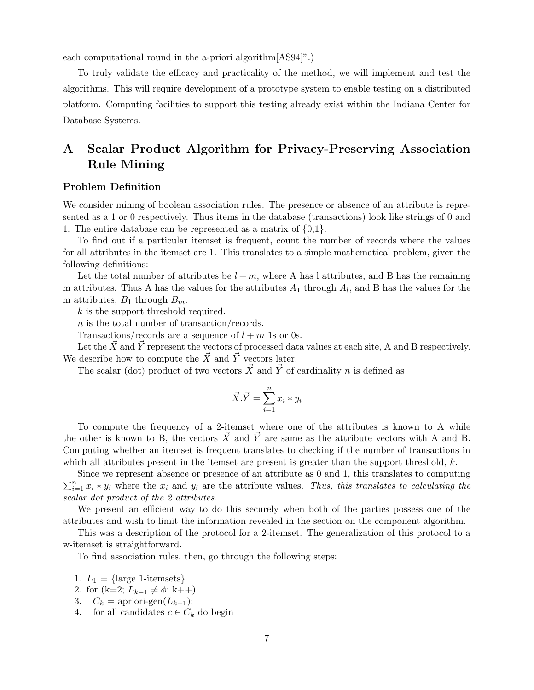each computational round in the a-priori algorithm[AS94]".)

To truly validate the efficacy and practicality of the method, we will implement and test the algorithms. This will require development of a prototype system to enable testing on a distributed platform. Computing facilities to support this testing already exist within the Indiana Center for Database Systems.

# A Scalar Product Algorithm for Privacy-Preserving Association Rule Mining

### Problem Definition

We consider mining of boolean association rules. The presence or absence of an attribute is represented as a 1 or 0 respectively. Thus items in the database (transactions) look like strings of 0 and 1. The entire database can be represented as a matrix of  $\{0,1\}$ .

To find out if a particular itemset is frequent, count the number of records where the values for all attributes in the itemset are 1. This translates to a simple mathematical problem, given the following definitions:

Let the total number of attributes be  $l + m$ , where A has l attributes, and B has the remaining m attributes. Thus A has the values for the attributes  $A_1$  through  $A_l$ , and B has the values for the m attributes,  $B_1$  through  $B_m$ .

k is the support threshold required.

n is the total number of transaction/records.

Transactions/records are a sequence of  $l + m$  1s or 0s.

Let the  $\vec{X}$  and  $\vec{Y}$  represent the vectors of processed data values at each site, A and B respectively. We describe how to compute the  $\vec{X}$  and  $\vec{Y}$  vectors later.

The scalar (dot) product of two vectors  $\vec{X}$  and  $\vec{Y}$  of cardinality n is defined as

$$
\vec{X} \cdot \vec{Y} = \sum_{i=1}^{n} x_i * y_i
$$

To compute the frequency of a 2-itemset where one of the attributes is known to A while the other is known to B, the vectors  $\vec{X}$  and  $\vec{Y}$  are same as the attribute vectors with A and B. Computing whether an itemset is frequent translates to checking if the number of transactions in which all attributes present in the itemset are present is greater than the support threshold,  $k$ .

Since we represent absence or presence of an attribute as 0 and 1, this translates to computing  $\sum_{i=1}^{n} x_i * y_i$  where the  $x_i$  and  $y_i$  are the attribute values. Thus, this translates to calculating the scalar dot product of the 2 attributes.

We present an efficient way to do this securely when both of the parties possess one of the attributes and wish to limit the information revealed in the section on the component algorithm.

This was a description of the protocol for a 2-itemset. The generalization of this protocol to a w-itemset is straightforward.

To find association rules, then, go through the following steps:

- 1.  $L_1 = \{\text{large 1-itemsets}\}\$
- 2. for  $(k=2; L_{k-1} \neq \phi; k++)$
- 3.  $C_k = \text{apriori-gen}(L_{k-1});$
- 4. for all candidates  $c \in C_k$  do begin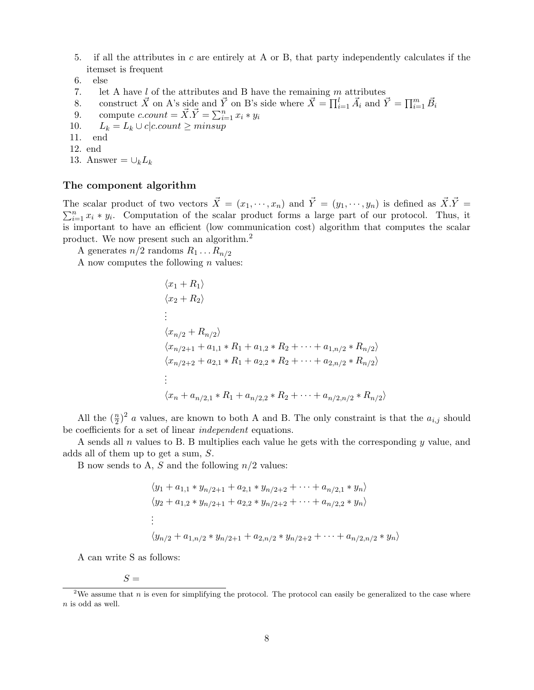- 5. if all the attributes in c are entirely at A or B, that party independently calculates if the itemset is frequent
- 6. else
- 7. let A have  $l$  of the attributes and B have the remaining  $m$  attributes
- 8. construct  $\vec{X}$  on A's side and  $\vec{Y}$  on B's side where  $\vec{X} = \prod_{i=1}^{l} \vec{A}_i$  and  $\vec{Y} = \prod_{i=1}^{m} \vec{B}_i$
- 9. compute  $c.count = \vec{X}.\vec{Y} = \sum_{i=1}^{n} x_i * y_i$
- 10.  $L_k = L_k \cup c|c.count \geq minusup$
- 11. end
- 12. end
- 13. Answer =  $\cup_k L_k$

#### The component algorithm

The scalar product of two vectors  $\vec{X} = (x_1, \dots, x_n)$  and  $\vec{Y} = (y_1, \dots, y_n)$  is defined as  $\vec{X} \cdot \vec{Y} = (y_1, \dots, y_n)$  $\sum_{i=1}^{n} x_i * y_i$ . Computation of the scalar product forms a large part of our protocol. Thus, it is important to have an efficient (low communication cost) algorithm that computes the scalar product. We now present such an algorithm.<sup>2</sup>

A generates  $n/2$  randoms  $R_1 \ldots R_{n/2}$ 

A now computes the following  $n$  values:

$$
\langle x_1 + R_1 \rangle
$$
  
\n
$$
\langle x_2 + R_2 \rangle
$$
  
\n
$$
\vdots
$$
  
\n
$$
\langle x_{n/2} + R_{n/2} \rangle
$$
  
\n
$$
\langle x_{n/2+1} + a_{1,1} * R_1 + a_{1,2} * R_2 + \dots + a_{1,n/2} * R_{n/2} \rangle
$$
  
\n
$$
\langle x_{n/2+2} + a_{2,1} * R_1 + a_{2,2} * R_2 + \dots + a_{2,n/2} * R_{n/2} \rangle
$$
  
\n
$$
\vdots
$$
  
\n
$$
\langle x_n + a_{n/2,1} * R_1 + a_{n/2,2} * R_2 + \dots + a_{n/2,n/2} * R_{n/2} \rangle
$$

All the  $(\frac{n}{2})^2$  a values, are known to both A and B. The only constraint is that the  $a_{i,j}$  should be coefficients for a set of linear independent equations.

A sends all  $n$  values to B. B multiplies each value he gets with the corresponding  $y$  value, and adds all of them up to get a sum, S.

B now sends to A, S and the following  $n/2$  values:

$$
\langle y_1 + a_{1,1} * y_{n/2+1} + a_{2,1} * y_{n/2+2} + \cdots + a_{n/2,1} * y_n \rangle
$$
  
\n
$$
\langle y_2 + a_{1,2} * y_{n/2+1} + a_{2,2} * y_{n/2+2} + \cdots + a_{n/2,2} * y_n \rangle
$$
  
\n:  
\n
$$
\langle y_{n/2} + a_{1,n/2} * y_{n/2+1} + a_{2,n/2} * y_{n/2+2} + \cdots + a_{n/2,n/2} * y_n \rangle
$$

A can write S as follows:

 $S =$ 

<sup>&</sup>lt;sup>2</sup>We assume that n is even for simplifying the protocol. The protocol can easily be generalized to the case where  $n$  is odd as well.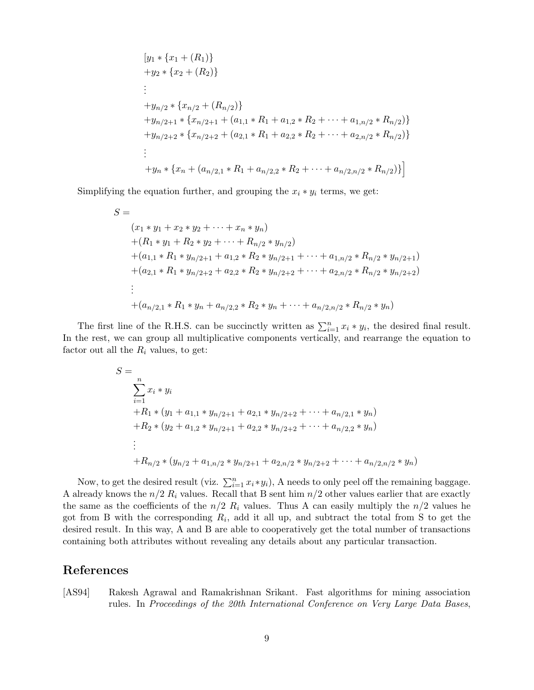$$
[y_1 * \{x_1 + (R_1)\}\
$$
  
+ $y_2 * \{x_2 + (R_2)\}\$   
:  
+ $y_{n/2} * \{x_{n/2} + (R_{n/2})\}\$   
+ $y_{n/2+1} * \{x_{n/2+1} + (a_{1,1} * R_1 + a_{1,2} * R_2 + \cdots + a_{1,n/2} * R_{n/2})\}\$   
+ $y_{n/2+2} * \{x_{n/2+2} + (a_{2,1} * R_1 + a_{2,2} * R_2 + \cdots + a_{2,n/2} * R_{n/2})\}\$   
:  
+ $y_n * \{x_n + (a_{n/2,1} * R_1 + a_{n/2,2} * R_2 + \cdots + a_{n/2,n/2} * R_{n/2})\}\$ 

Simplifying the equation further, and grouping the  $x_i * y_i$  terms, we get:

$$
S =
$$
  
\n
$$
(x_1 * y_1 + x_2 * y_2 + \dots + x_n * y_n)
$$
  
\n
$$
+ (R_1 * y_1 + R_2 * y_2 + \dots + R_{n/2} * y_{n/2})
$$
  
\n
$$
+ (a_{1,1} * R_1 * y_{n/2+1} + a_{1,2} * R_2 * y_{n/2+1} + \dots + a_{1,n/2} * R_{n/2} * y_{n/2+1})
$$
  
\n
$$
+ (a_{2,1} * R_1 * y_{n/2+2} + a_{2,2} * R_2 * y_{n/2+2} + \dots + a_{2,n/2} * R_{n/2} * y_{n/2+2})
$$
  
\n
$$
\vdots
$$
  
\n
$$
+ (a_{n/2,1} * R_1 * y_n + a_{n/2,2} * R_2 * y_n + \dots + a_{n/2,n/2} * R_{n/2} * y_n)
$$

The first line of the R.H.S. can be succinctly written as  $\sum_{i=1}^{n} x_i * y_i$ , the desired final result. In the rest, we can group all multiplicative components vertically, and rearrange the equation to factor out all the  $R_i$  values, to get:

$$
S = \sum_{i=1}^{n} x_i * y_i
$$
  
+R<sub>1</sub> \* (y<sub>1</sub> + a<sub>1,1</sub> \* y<sub>n/2+1</sub> + a<sub>2,1</sub> \* y<sub>n/2+2</sub> + ··· + a<sub>n/2,1</sub> \* y<sub>n</sub>)  
+R<sub>2</sub> \* (y<sub>2</sub> + a<sub>1,2</sub> \* y<sub>n/2+1</sub> + a<sub>2,2</sub> \* y<sub>n/2+2</sub> + ··· + a<sub>n/2,2</sub> \* y<sub>n</sub>)  
:  
+R<sub>n/2</sub> \* (y<sub>n/2</sub> + a<sub>1,n/2</sub> \* y<sub>n/2+1</sub> + a<sub>2,n/2</sub> \* y<sub>n/2+2</sub> + ··· + a<sub>n/2,n/2</sub> \* y<sub>n</sub>)

Now, to get the desired result (viz.  $\sum_{i=1}^{n} x_i * y_i$ ), A needs to only peel off the remaining baggage. A already knows the  $n/2 R_i$  values. Recall that B sent him  $n/2$  other values earlier that are exactly the same as the coefficients of the  $n/2$   $R_i$  values. Thus A can easily multiply the  $n/2$  values he got from B with the corresponding  $R_i$ , add it all up, and subtract the total from S to get the desired result. In this way, A and B are able to cooperatively get the total number of transactions containing both attributes without revealing any details about any particular transaction.

## References

[AS94] Rakesh Agrawal and Ramakrishnan Srikant. Fast algorithms for mining association rules. In Proceedings of the 20th International Conference on Very Large Data Bases,